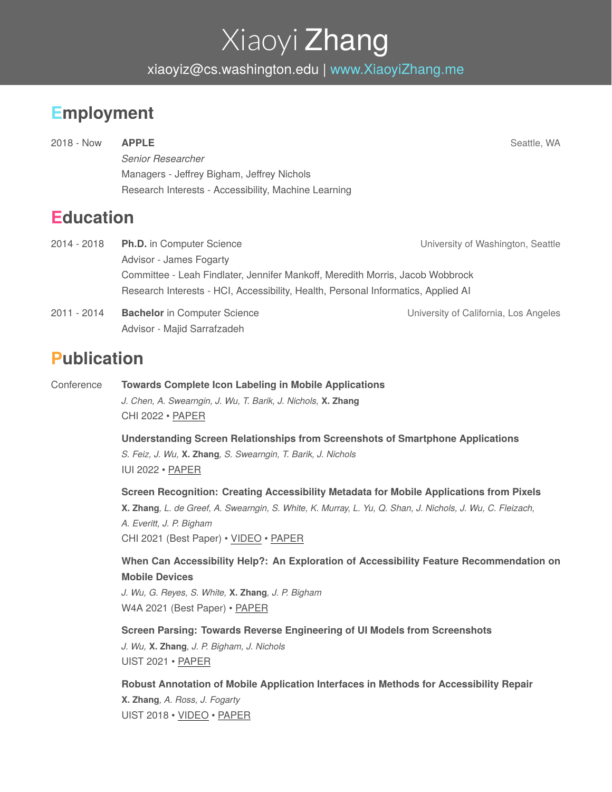# Xiaoyi Zhang

xiaoyiz@cs.washington.edu | [www.XiaoyiZhang.me](http://www.xiaoyizhang.me)

## **Employment**

2018 - Now **APPLE** Seattle, WA *Senior Researcher* Managers - Jeffrey Bigham, Jeffrey Nichols Research Interests - Accessibility, Machine Learning

#### **Education**

| 2014 - 2018 | <b>Ph.D.</b> in Computer Science                                                  | University of Washington, Seattle     |  |
|-------------|-----------------------------------------------------------------------------------|---------------------------------------|--|
|             | Advisor - James Fogarty                                                           |                                       |  |
|             | Committee - Leah Findlater, Jennifer Mankoff, Meredith Morris, Jacob Wobbrock     |                                       |  |
|             | Research Interests - HCI, Accessibility, Health, Personal Informatics, Applied AI |                                       |  |
| 2011 - 2014 | <b>Bachelor</b> in Computer Science                                               | University of California, Los Angeles |  |
|             | Advisor - Majid Sarrafzadeh                                                       |                                       |  |

#### **Publication**

Conference **Towards Complete Icon Labeling in Mobile Applications** *J. Chen, A. Swearngin, J. Wu, T. Barik, J. Nichols,* **X. Zhang** CHI 2022 • [PAPER](https://xiaoyizhang.me/assets/Paper/CHI_2022_Icon.pdf)

> **Understanding Screen Relationships from Screenshots of Smartphone Applications** *S. Feiz, J. Wu,* **X. Zhang***, S. Swearngin, T. Barik, J. Nichols* IUI 2022 • [PAPER](https://xiaoyizhang.me/assets/Paper/IUI_2022_ScreenGrouping.pdf)

**Screen Recognition: Creating Accessibility Metadata for Mobile Applications from Pixels** X. Zhang, L. de Greef, A. Swearngin, S. White, K. Murray, L. Yu, Q. Shan, J. Nichols, J. Wu, C. Fleizach, *A. Everitt, J. P. Bigham* CHI 2021 (Best Paper) • [VIDEO](https://www.youtube.com/watch?v=Z0pv0ZqFnC0) • [PAPER](https://www.xiaoyizhang.me/assets/Paper/CHI_2021_ScreenRecognition.pdf)

**When Can Accessibility Help?: An Exploration of Accessibility Feature Recommendation on Mobile Devices**

*J. Wu, G. Reyes, S. White,* **X. Zhang***, J. P. Bigham* W4A 2021 (Best Paper) • [PAPER](https://xiaoyizhang.me/assets/Paper/W4A_2021_RecommendingAccessibility.pdf)

**Screen Parsing: Towards Reverse Engineering of UI Models from Screenshots** *J. Wu,* **X. Zhang***, J. P. Bigham, J. Nichols*

UIST 2021 • [PAPER](https://xiaoyizhang.me/assets/Paper/UIST_2021_ScreenParsing.pdf)

**Robust Annotation of Mobile Application Interfaces in Methods for Accessibility Repair**

**X. Zhang***, A. Ross, J. Fogarty* UIST 2018 • [VIDEO](https://youtu.be/oLMjy2IwYbY) • [PAPER](http://www.xiaoyizhang.me/assets/Paper/UIST_2018_Annotation.pdf)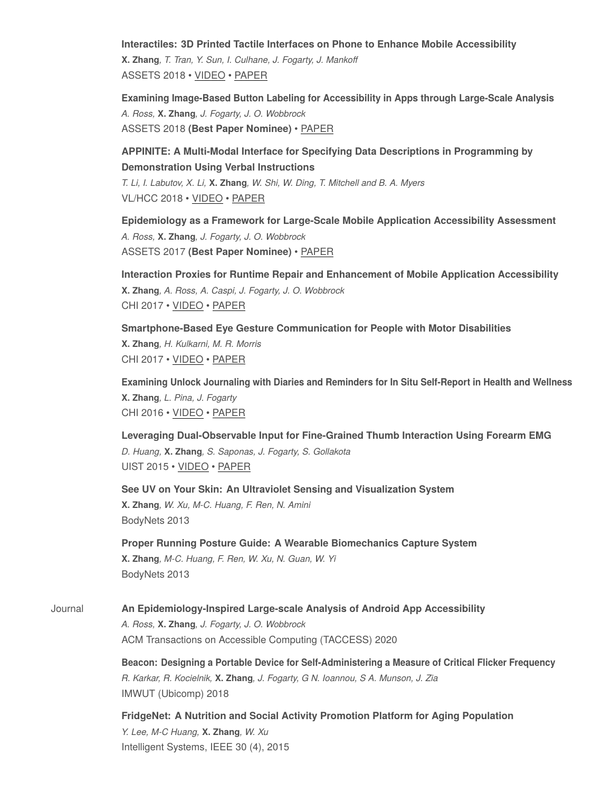**Interactiles: 3D Printed Tactile Interfaces on Phone to Enhance Mobile Accessibility**

**X. Zhang***, T. Tran, Y. Sun, I. Culhane, J. Fogarty, J. Mankoff* ASSETS 2018 • [VIDEO](https://youtu.be/Fd6zmfJ9DOk) • [PAPER](http://www.xiaoyizhang.me/assets/Paper/ASSETS_2018_Interactiles.pdf)

**Examining Image-Based Button Labeling for Accessibility in Apps through Large-Scale Analysis** *A. Ross,* **X. Zhang***, J. Fogarty, J. O. Wobbrock* ASSETS 2018 **(Best Paper Nominee)** • [PAPER](http://www.xiaoyizhang.me/assets/Paper/ASSETS_2018_Analysis.pdf)

**APPINITE: A Multi-Modal Interface for Specifying Data Descriptions in Programming by Demonstration Using Verbal Instructions** *T. Li, I. Labutov, X. Li,* **X. Zhang***, W. Shi, W. Ding, T. Mitchell and B. A. Myers*

VL/HCC 2018 • [VIDEO](https://youtu.be/gW_Yrzkc0uE) • [PAPER](http://www.xiaoyizhang.me/assets/Paper/VLHCC_2018_APPINITE.pdf)

**Epidemiology as a Framework for Large-Scale Mobile Application Accessibility Assessment** *A. Ross,* **X. Zhang***, J. Fogarty, J. O. Wobbrock* ASSETS 2017 **(Best Paper Nominee)** • [PAPER](http://www.xiaoyizhang.me/assets/Paper/ASSETS_2017_Epidemiology.pdf)

**Interaction Proxies for Runtime Repair and Enhancement of Mobile Application Accessibility X. Zhang***, A. Ross, A. Caspi, J. Fogarty, J. O. Wobbrock* CHI 2017 • [VIDEO](https://youtu.be/YXnbrVJ_8N0) • [PAPER](http://www.xiaoyizhang.me/assets/Paper/CHI_2017_InteractionProxies.pdf)

**Smartphone-Based Eye Gesture Communication for People with Motor Disabilities X. Zhang***, H. Kulkarni, M. R. Morris* CHI 2017 • [VIDEO](https://youtu.be/bHwIIVDoZoM) • [PAPER](http://www.xiaoyizhang.me/assets/Paper/CHI_2017_GazeSpeak.pdf)

**Examining Unlock Journaling with Diaries and Reminders for In Situ Self-Report in Health and Wellness X. Zhang***, L. Pina, J. Fogarty* CHI 2016 • [VIDEO](https://youtu.be/XauaChOS9y4) • [PAPER](http://www.xiaoyizhang.me/assets/Paper/CHI_2016_LogIn.pdf)

**Leveraging Dual-Observable Input for Fine-Grained Thumb Interaction Using Forearm EMG** *D. Huang,* **X. Zhang***, S. Saponas, J. Fogarty, S. Gollakota* UIST 2015 • [VIDEO](https://youtu.be/r5Btr-VpyM0) • [PAPER](http://www.xiaoyizhang.me/assets/Paper/UIST_2015_EMG.pdf)

**See UV on Your Skin: An Ultraviolet Sensing and Visualization System X. Zhang***, W. Xu, M-C. Huang, F. Ren, N. Amini* BodyNets 2013

**Proper Running Posture Guide: A Wearable Biomechanics Capture System X. Zhang***, M-C. Huang, F. Ren, W. Xu, N. Guan, W. Yi* BodyNets 2013

Journal **An Epidemiology-Inspired Large-scale Analysis of Android App Accessibility** *A. Ross,* **X. Zhang***, J. Fogarty, J. O. Wobbrock* ACM Transactions on Accessible Computing (TACCESS) 2020

> **Beacon: Designing a Portable Device for Self-Administering a Measure of Critical Flicker Frequency** *R. Karkar, R. Kocielnik,* **X. Zhang***, J. Fogarty, G N. Ioannou, S A. Munson, J. Zia* IMWUT (Ubicomp) 2018

**FridgeNet: A Nutrition and Social Activity Promotion Platform for Aging Population** *Y. Lee, M-C Huang,* **X. Zhang***, W. Xu* Intelligent Systems, IEEE 30 (4), 2015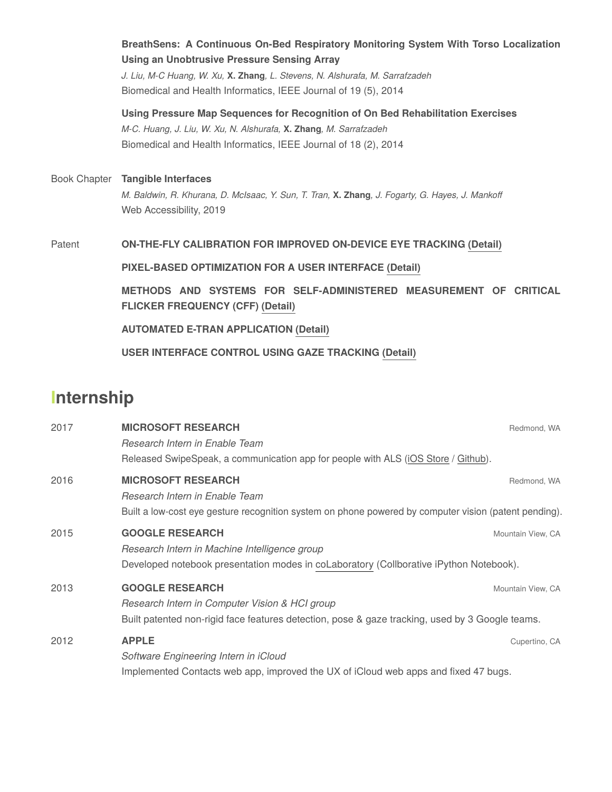**BreathSens: A Continuous On-Bed Respiratory Monitoring System With Torso Localization Using an Unobtrusive Pressure Sensing Array** *J. Liu, M-C Huang, W. Xu,* **X. Zhang***, L. Stevens, N. Alshurafa, M. Sarrafzadeh* Biomedical and Health Informatics, IEEE Journal of 19 (5), 2014 **Using Pressure Map Sequences for Recognition of On Bed Rehabilitation Exercises** *M-C. Huang, J. Liu, W. Xu, N. Alshurafa,* **X. Zhang***, M. Sarrafzadeh* Biomedical and Health Informatics, IEEE Journal of 18 (2), 2014 Book Chapter **Tangible Interfaces** *M. Baldwin, R. Khurana, D. McIsaac, Y. Sun, T. Tran,* **X. Zhang***, J. Fogarty, G. Hayes, J. Mankoff* Web Accessibility, 2019 Patent **ON-THE-FLY CALIBRATION FOR IMPROVED ON-DEVICE EYE TRACKING [\(Detail\)](https://patents.google.com/patent/US11106280B1/en) PIXEL-BASED OPTIMIZATION FOR A USER INTERFACE [\(Detail\)](https://patents.google.com/patent/US20210349587A1/en)**

> **METHODS AND SYSTEMS FOR SELF-ADMINISTERED MEASUREMENT OF CRITICAL FLICKER FREQUENCY (CFF) [\(Detail\)](https://patents.google.com/patent/US20210068733A1/en)**

**AUTOMATED E-TRAN APPLICATION [\(Detail\)](https://patents.google.com/patent/US10353475B2/en)**

**USER INTERFACE CONTROL USING GAZE TRACKING [\(Detail\)](https://patents.google.com/patent/US9703373B2/en)**

### **Internship**

| 2017 | <b>MICROSOFT RESEARCH</b>                                                                             | Redmond, WA       |  |
|------|-------------------------------------------------------------------------------------------------------|-------------------|--|
|      | Research Intern in Enable Team                                                                        |                   |  |
|      | Released SwipeSpeak, a communication app for people with ALS (iOS Store / Github).                    |                   |  |
| 2016 | <b>MICROSOFT RESEARCH</b>                                                                             | Redmond, WA       |  |
|      | Research Intern in Enable Team                                                                        |                   |  |
|      | Built a low-cost eye gesture recognition system on phone powered by computer vision (patent pending). |                   |  |
| 2015 | <b>GOOGLE RESEARCH</b>                                                                                | Mountain View, CA |  |
|      | Research Intern in Machine Intelligence group                                                         |                   |  |
|      | Developed notebook presentation modes in coLaboratory (Collborative iPython Notebook).                |                   |  |
| 2013 | <b>GOOGLE RESEARCH</b>                                                                                | Mountain View, CA |  |
|      | Research Intern in Computer Vision & HCI group                                                        |                   |  |
|      | Built patented non-rigid face features detection, pose & gaze tracking, used by 3 Google teams.       |                   |  |
| 2012 | <b>APPLE</b>                                                                                          | Cupertino, CA     |  |
|      | Software Engineering Intern in iCloud                                                                 |                   |  |
|      | Implemented Contacts web app, improved the UX of iCloud web apps and fixed 47 bugs.                   |                   |  |